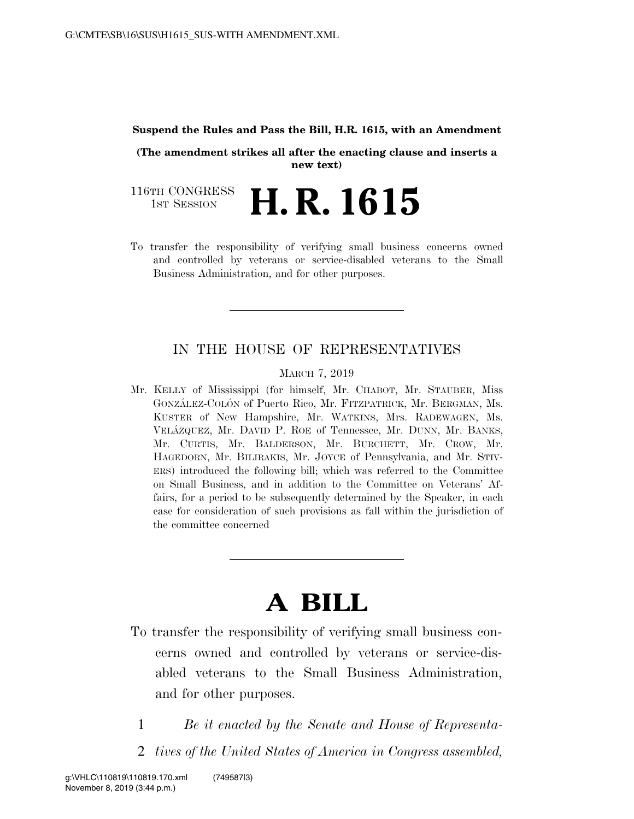#### **Suspend the Rules and Pass the Bill, H.R. 1615, with an Amendment**

**(The amendment strikes all after the enacting clause and inserts a new text)** 

116TH CONGRESS<br>1st Session **H. R. 1615** 

To transfer the responsibility of verifying small business concerns owned and controlled by veterans or service-disabled veterans to the Small Business Administration, and for other purposes.

# IN THE HOUSE OF REPRESENTATIVES

#### MARCH 7, 2019

Mr. KELLY of Mississippi (for himself, Mr. CHABOT, Mr. STAUBER, Miss GONZÁLEZ-COLÓN of Puerto Rico, Mr. FITZPATRICK, Mr. BERGMAN, Ms. KUSTER of New Hampshire, Mr. WATKINS, Mrs. RADEWAGEN, Ms. VELA´ZQUEZ, Mr. DAVID P. ROE of Tennessee, Mr. DUNN, Mr. BANKS, Mr. CURTIS, Mr. BALDERSON, Mr. BURCHETT, Mr. CROW, Mr. HAGEDORN, Mr. BILIRAKIS, Mr. JOYCE of Pennsylvania, and Mr. STIV-ERS) introduced the following bill; which was referred to the Committee on Small Business, and in addition to the Committee on Veterans' Affairs, for a period to be subsequently determined by the Speaker, in each case for consideration of such provisions as fall within the jurisdiction of the committee concerned

# **A BILL**

- To transfer the responsibility of verifying small business concerns owned and controlled by veterans or service-disabled veterans to the Small Business Administration, and for other purposes.
	- 1 *Be it enacted by the Senate and House of Representa-*
	- 2 *tives of the United States of America in Congress assembled,*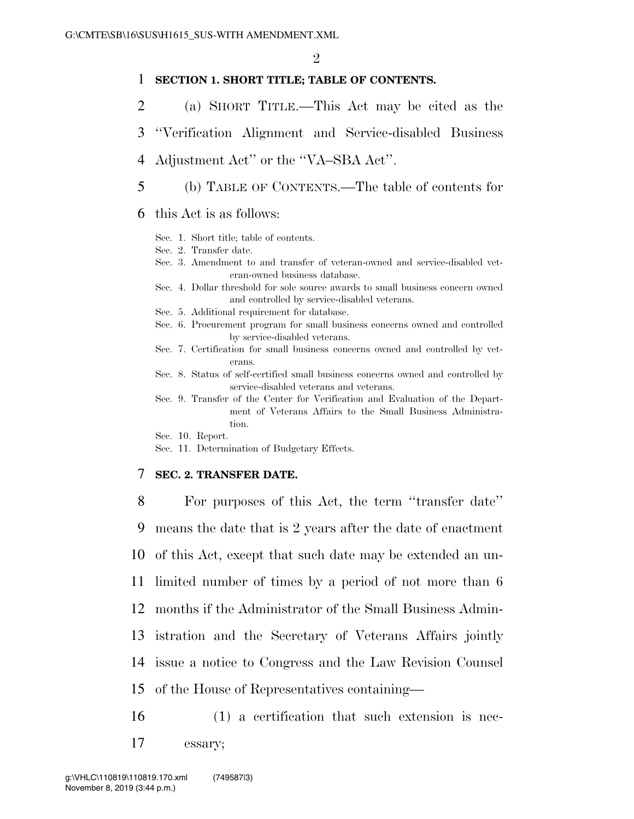# 1 **SECTION 1. SHORT TITLE; TABLE OF CONTENTS.**

- 2 (a) SHORT TITLE.—This Act may be cited as the
- 3 ''Verification Alignment and Service-disabled Business
- 4 Adjustment Act'' or the ''VA–SBA Act''.
- 5 (b) TABLE OF CONTENTS.—The table of contents for
- 6 this Act is as follows:
	- Sec. 1. Short title; table of contents.
	- Sec. 2. Transfer date.
	- Sec. 3. Amendment to and transfer of veteran-owned and service-disabled veteran-owned business database.
	- Sec. 4. Dollar threshold for sole source awards to small business concern owned and controlled by service-disabled veterans.
	- Sec. 5. Additional requirement for database.
	- Sec. 6. Procurement program for small business concerns owned and controlled by service-disabled veterans.
	- Sec. 7. Certification for small business concerns owned and controlled by veterans.
	- Sec. 8. Status of self-certified small business concerns owned and controlled by service-disabled veterans and veterans.
	- Sec. 9. Transfer of the Center for Verification and Evaluation of the Department of Veterans Affairs to the Small Business Administration.
	- Sec. 10. Report.
	- Sec. 11. Determination of Budgetary Effects.

#### 7 **SEC. 2. TRANSFER DATE.**

 For purposes of this Act, the term ''transfer date'' means the date that is 2 years after the date of enactment of this Act, except that such date may be extended an un- limited number of times by a period of not more than 6 months if the Administrator of the Small Business Admin- istration and the Secretary of Veterans Affairs jointly issue a notice to Congress and the Law Revision Counsel of the House of Representatives containing—

16 (1) a certification that such extension is nec-17 essary;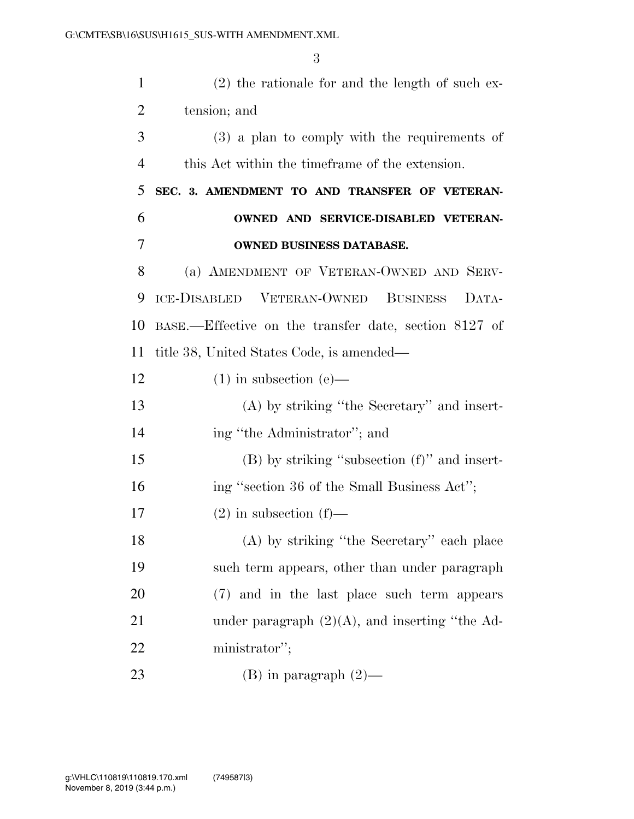| $\mathbf{1}$   | $(2)$ the rationale for and the length of such ex-    |
|----------------|-------------------------------------------------------|
| $\overline{2}$ | tension; and                                          |
| 3              | $(3)$ a plan to comply with the requirements of       |
| $\overline{4}$ | this Act within the time frame of the extension.      |
| 5              | SEC. 3. AMENDMENT TO AND TRANSFER OF VETERAN-         |
| 6              | OWNED AND SERVICE-DISABLED VETERAN-                   |
| 7              | OWNED BUSINESS DATABASE.                              |
| 8              | (a) AMENDMENT OF VETERAN-OWNED AND SERV-              |
| 9              | ICE-DISABLED VETERAN-OWNED BUSINESS<br>DATA-          |
| 10             | BASE.—Effective on the transfer date, section 8127 of |
| 11             | title 38, United States Code, is amended—             |
| 12             | $(1)$ in subsection $(e)$ —                           |
| 13             | $(A)$ by striking "the Secretary" and insert-         |
| 14             | ing "the Administrator"; and                          |
| 15             | $(B)$ by striking "subsection $(f)$ " and insert-     |
| 16             | ing "section 36 of the Small Business Act";           |
| 17             | $(2)$ in subsection $(f)$ —                           |
| 18             | (A) by striking "the Secretary" each place            |
| 19             | such term appears, other than under paragraph         |
| 20             | (7) and in the last place such term appears           |
| 21             | under paragraph $(2)(A)$ , and inserting "the Ad-     |
| 22             | ministrator";                                         |
| 23             | (B) in paragraph $(2)$ —                              |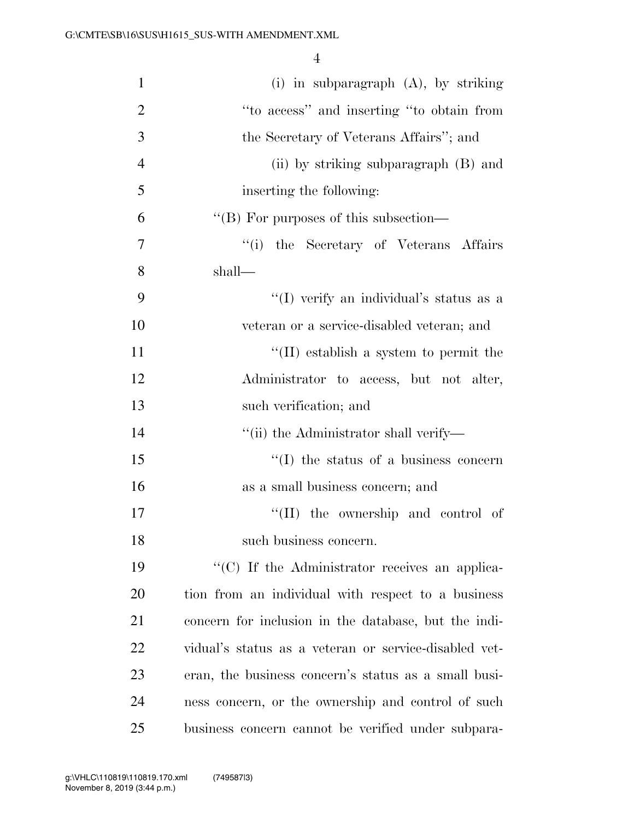| $\mathbf{1}$   | (i) in subparagraph $(A)$ , by striking               |
|----------------|-------------------------------------------------------|
| $\overline{2}$ | "to access" and inserting "to obtain from             |
| 3              | the Secretary of Veterans Affairs"; and               |
| $\overline{4}$ | (ii) by striking subparagraph (B) and                 |
| 5              | inserting the following:                              |
| 6              | "(B) For purposes of this subsection—                 |
| $\overline{7}$ | "(i) the Secretary of Veterans Affairs                |
| 8              | shall—                                                |
| 9              | "(I) verify an individual's status as a               |
| 10             | veteran or a service-disabled veteran; and            |
| 11             | $\lq$ (II) establish a system to permit the           |
| 12             | Administrator to access, but not alter,               |
| 13             | such verification; and                                |
| 14             | "(ii) the Administrator shall verify—                 |
| 15             | $\lq\lq$ the status of a business concern             |
| 16             | as a small business concern; and                      |
| 17             | $\lq\lq$ (II) the ownership and control of            |
| 18             | such business concern.                                |
| 19             | "(C) If the Administrator receives an applica-        |
| 20             | tion from an individual with respect to a business    |
| 21             | concern for inclusion in the database, but the indi-  |
| 22             | vidual's status as a veteran or service-disabled vet- |
| 23             | eran, the business concern's status as a small busi-  |
| 24             | ness concern, or the ownership and control of such    |
| 25             | business concern cannot be verified under subpara-    |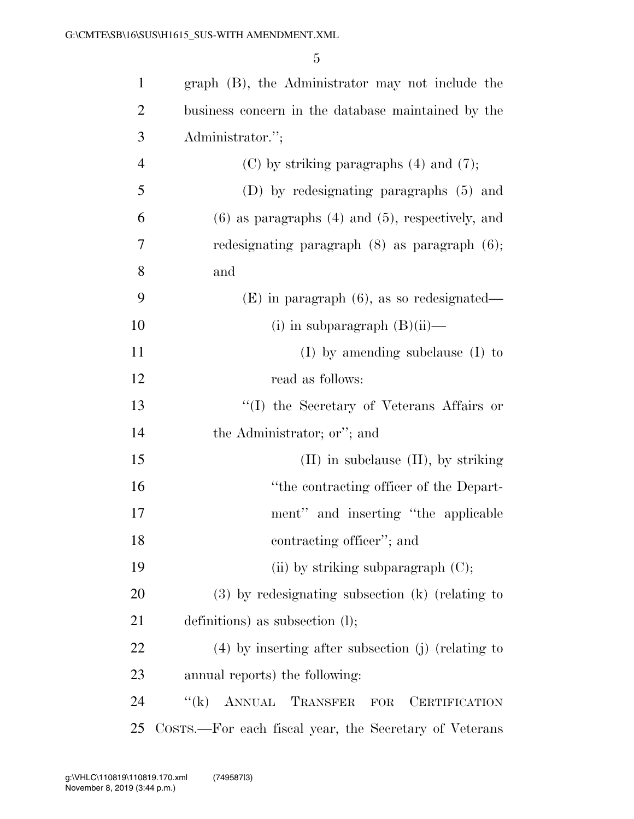| $\mathbf{1}$   | graph (B), the Administrator may not include the               |
|----------------|----------------------------------------------------------------|
| $\overline{2}$ | business concern in the database maintained by the             |
| 3              | Administrator.";                                               |
| $\overline{4}$ | $(C)$ by striking paragraphs $(4)$ and $(7)$ ;                 |
| 5              | (D) by redesignating paragraphs (5) and                        |
| 6              | $(6)$ as paragraphs $(4)$ and $(5)$ , respectively, and        |
| 7              | redesignating paragraph $(8)$ as paragraph $(6)$ ;             |
| 8              | and                                                            |
| 9              | $(E)$ in paragraph $(6)$ , as so redesignated—                 |
| 10             | $(i)$ in subparagraph $(B)(ii)$ —                              |
| 11             | $(I)$ by amending subclause $(I)$ to                           |
| 12             | read as follows:                                               |
| 13             | "(I) the Secretary of Veterans Affairs or                      |
| 14             | the Administrator; or"; and                                    |
| 15             | $(II)$ in subclause $(II)$ , by striking                       |
| 16             | "the contracting officer of the Depart-                        |
| 17             | ment" and inserting "the applicable"                           |
| 18             | contracting officer"; and                                      |
| 19             | (ii) by striking subparagraph $(C)$ ;                          |
| 20             | $(3)$ by redesignating subsection $(k)$ (relating to           |
| 21             | definitions) as subsection $(l)$ ;                             |
| 22             | $(4)$ by inserting after subsection (j) (relating to           |
| 23             | annual reports) the following:                                 |
| 24             | ANNUAL TRANSFER<br>$\lq\lq (k)$<br><b>CERTIFICATION</b><br>FOR |
| 25             | COSTS.—For each fiscal year, the Secretary of Veterans         |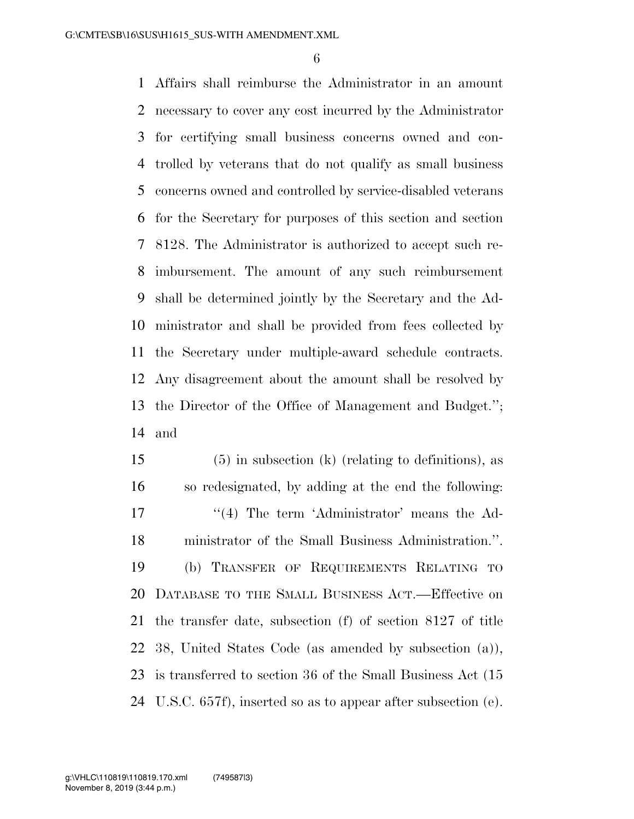Affairs shall reimburse the Administrator in an amount necessary to cover any cost incurred by the Administrator for certifying small business concerns owned and con- trolled by veterans that do not qualify as small business concerns owned and controlled by service-disabled veterans for the Secretary for purposes of this section and section 8128. The Administrator is authorized to accept such re- imbursement. The amount of any such reimbursement shall be determined jointly by the Secretary and the Ad- ministrator and shall be provided from fees collected by the Secretary under multiple-award schedule contracts. Any disagreement about the amount shall be resolved by the Director of the Office of Management and Budget.''; and

 (5) in subsection (k) (relating to definitions), as so redesignated, by adding at the end the following: 17 ''(4) The term 'Administrator' means the Ad- ministrator of the Small Business Administration.''. (b) TRANSFER OF REQUIREMENTS RELATING TO DATABASE TO THE SMALL BUSINESS ACT.—Effective on the transfer date, subsection (f) of section 8127 of title 38, United States Code (as amended by subsection (a)), is transferred to section 36 of the Small Business Act (15 U.S.C. 657f), inserted so as to appear after subsection (e).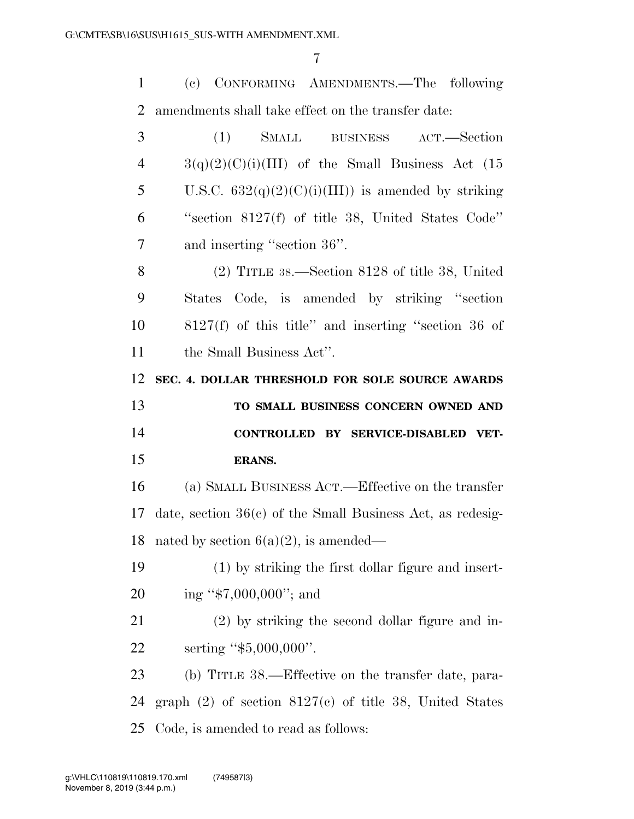(c) CONFORMING AMENDMENTS.—The following amendments shall take effect on the transfer date:

| 3         | (1)<br>SMALL BUSINESS<br>ACT.—Section                        |
|-----------|--------------------------------------------------------------|
| 4         | $3(q)(2)(C)(i)(III)$ of the Small Business Act (15           |
| 5         | U.S.C. $632(q)(2)(C)(i)(III)$ is amended by striking         |
| 6         | "section $8127(f)$ of title 38, United States Code"          |
| 7         | and inserting "section 36".                                  |
| 8         | $(2)$ TITLE 38.—Section 8128 of title 38, United             |
| 9         | States Code, is amended by striking "section"                |
| 10        | $8127(f)$ of this title" and inserting "section 36 of        |
| 11        | the Small Business Act".                                     |
| 12        | SEC. 4. DOLLAR THRESHOLD FOR SOLE SOURCE AWARDS              |
| 13        | TO SMALL BUSINESS CONCERN OWNED AND                          |
|           |                                                              |
| 14        | CONTROLLED BY SERVICE-DISABLED VET-                          |
| 15        | <b>ERANS.</b>                                                |
| 16        | (a) SMALL BUSINESS ACT.—Effective on the transfer            |
| 17        | date, section $36(c)$ of the Small Business Act, as redesig- |
| 18        | nated by section $6(a)(2)$ , is amended—                     |
| 19        | (1) by striking the first dollar figure and insert-          |
| 20        | ing " $$7,000,000$ "; and                                    |
| 21        | (2) by striking the second dollar figure and in-             |
| <u>22</u> | serting " $$5,000,000$ ".                                    |
| 23        | (b) TITLE 38.—Effective on the transfer date, para-          |
| 24        | graph $(2)$ of section $8127(c)$ of title 38, United States  |

November 8, 2019 (3:44 p.m.) g:\VHLC\110819\110819.170.xml (749587|3)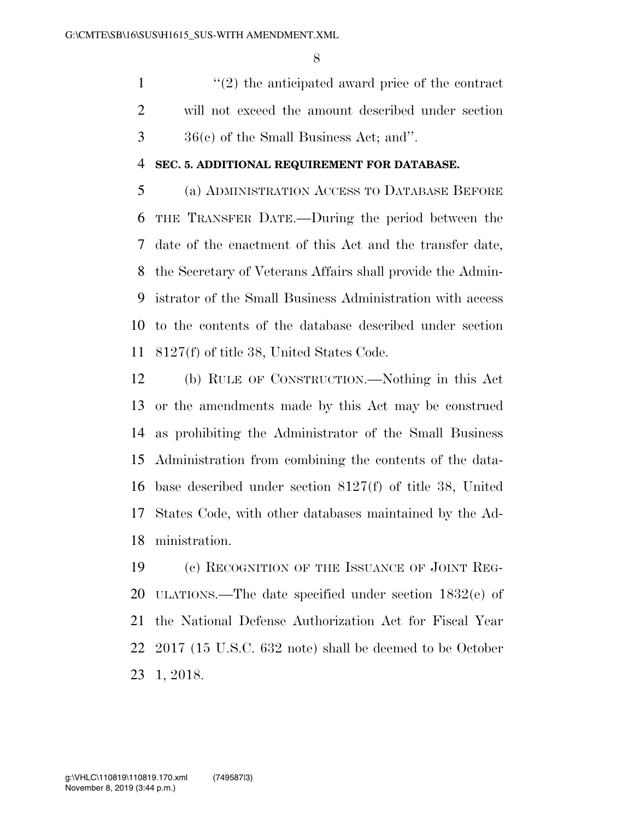1 ''(2) the anticipated award price of the contract will not exceed the amount described under section 36(c) of the Small Business Act; and''.

#### **SEC. 5. ADDITIONAL REQUIREMENT FOR DATABASE.**

 (a) ADMINISTRATION ACCESS TO DATABASE BEFORE THE TRANSFER DATE.—During the period between the date of the enactment of this Act and the transfer date, the Secretary of Veterans Affairs shall provide the Admin- istrator of the Small Business Administration with access to the contents of the database described under section 8127(f) of title 38, United States Code.

 (b) RULE OF CONSTRUCTION.—Nothing in this Act or the amendments made by this Act may be construed as prohibiting the Administrator of the Small Business Administration from combining the contents of the data- base described under section 8127(f) of title 38, United States Code, with other databases maintained by the Ad-ministration.

 (c) RECOGNITION OF THE ISSUANCE OF JOINT REG- ULATIONS.—The date specified under section 1832(e) of the National Defense Authorization Act for Fiscal Year 2017 (15 U.S.C. 632 note) shall be deemed to be October 1, 2018.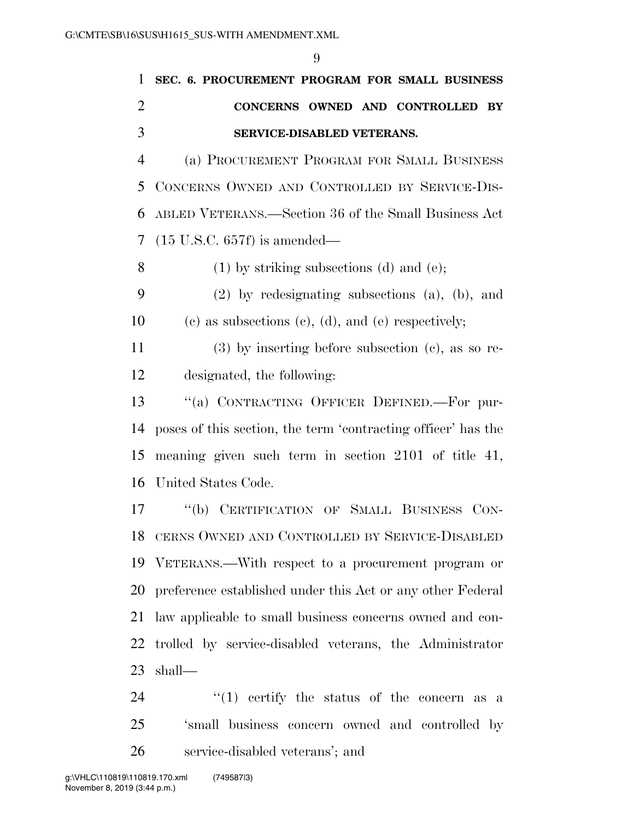| $\mathbf{1}$   | SEC. 6. PROCUREMENT PROGRAM FOR SMALL BUSINESS                |
|----------------|---------------------------------------------------------------|
| $\overline{2}$ | CONCERNS OWNED AND CONTROLLED BY                              |
| 3              | SERVICE-DISABLED VETERANS.                                    |
| 4              | (a) PROCUREMENT PROGRAM FOR SMALL BUSINESS                    |
| 5              | CONCERNS OWNED AND CONTROLLED BY SERVICE-DIS-                 |
| 6              | ABLED VETERANS.—Section 36 of the Small Business Act          |
| 7              | $(15 \text{ U.S.C. } 657f)$ is amended—                       |
| 8              | $(1)$ by striking subsections $(d)$ and $(e)$ ;               |
| 9              | $(2)$ by redesignating subsections $(a)$ , $(b)$ , and        |
| 10             | (c) as subsections (c), (d), and (e) respectively;            |
| 11             | $(3)$ by inserting before subsection $(e)$ , as so re-        |
| 12             | designated, the following:                                    |
| 13             | "(a) CONTRACTING OFFICER DEFINED.—For pur-                    |
| 14             | poses of this section, the term 'contracting officer' has the |
| 15             | meaning given such term in section 2101 of title 41,          |
| 16             | United States Code.                                           |
| 17             | $\lq (b)$<br>CERTIFICATION OF SMALL BUSINESS<br>CON-          |
| 18             | CERNS OWNED AND CONTROLLED BY SERVICE-DISABLED                |
| 19             | VETERANS.—With respect to a procurement program or            |
| 20             | preference established under this Act or any other Federal    |
| 21             | law applicable to small business concerns owned and con-      |
| 22             | trolled by service-disabled veterans, the Administrator       |
|                | $23$ shall—                                                   |

24 ''(1) certify the status of the concern as a 'small business concern owned and controlled by service-disabled veterans'; and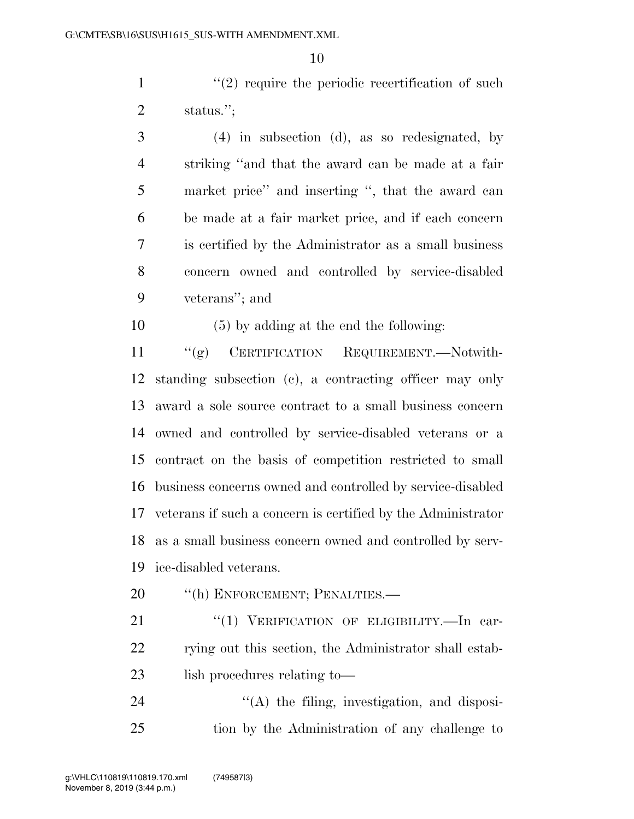$\mathcal{L}(2)$  require the periodic recertification of such status.'';

 (4) in subsection (d), as so redesignated, by striking ''and that the award can be made at a fair market price'' and inserting '', that the award can be made at a fair market price, and if each concern is certified by the Administrator as a small business concern owned and controlled by service-disabled veterans''; and

(5) by adding at the end the following:

 ''(g) CERTIFICATION REQUIREMENT.—Notwith- standing subsection (c), a contracting officer may only award a sole source contract to a small business concern owned and controlled by service-disabled veterans or a contract on the basis of competition restricted to small business concerns owned and controlled by service-disabled veterans if such a concern is certified by the Administrator as a small business concern owned and controlled by serv-ice-disabled veterans.

- 20 <sup>"</sup>(h) ENFORCEMENT; PENALTIES.—
- 21 "(1) VERIFICATION OF ELIGIBILITY.—In car-22 rying out this section, the Administrator shall estab-23 lish procedures relating to—

24  $\langle (A)$  the filing, investigation, and disposi-tion by the Administration of any challenge to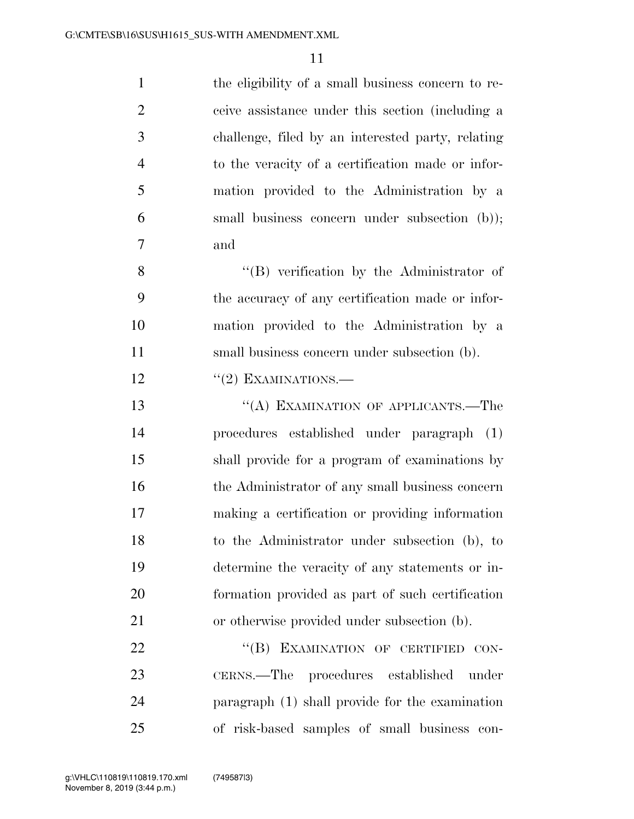| $\mathbf{1}$   | the eligibility of a small business concern to re- |
|----------------|----------------------------------------------------|
| $\overline{2}$ | ceive assistance under this section (including a   |
| 3              | challenge, filed by an interested party, relating  |
| $\overline{4}$ | to the veracity of a certification made or infor-  |
| 5              | mation provided to the Administration by a         |
| 6              | small business concern under subsection (b));      |
| 7              | and                                                |
| 8              | $\lq\lq (B)$ verification by the Administrator of  |
| 9              | the accuracy of any certification made or infor-   |
| 10             | mation provided to the Administration by a         |
| 11             | small business concern under subsection (b).       |
| 12             | $``(2)$ EXAMINATIONS.—                             |
| 13             | "(A) EXAMINATION OF APPLICANTS.—The                |
| 14             | procedures established under paragraph (1)         |
| 15             | shall provide for a program of examinations by     |
| 16             | the Administrator of any small business concern    |
| 17             | making a certification or providing information    |
| 18             | to the Administrator under subsection (b), to      |
| 19             | determine the veracity of any statements or in-    |
| 20             | formation provided as part of such certification   |
| 21             | or otherwise provided under subsection (b).        |
| 22             | "(B) EXAMINATION OF CERTIFIED CON-                 |
| 23             | CERNS.—The procedures established<br>under         |
| 24             | paragraph (1) shall provide for the examination    |
| 25             | of risk-based samples of small business con-       |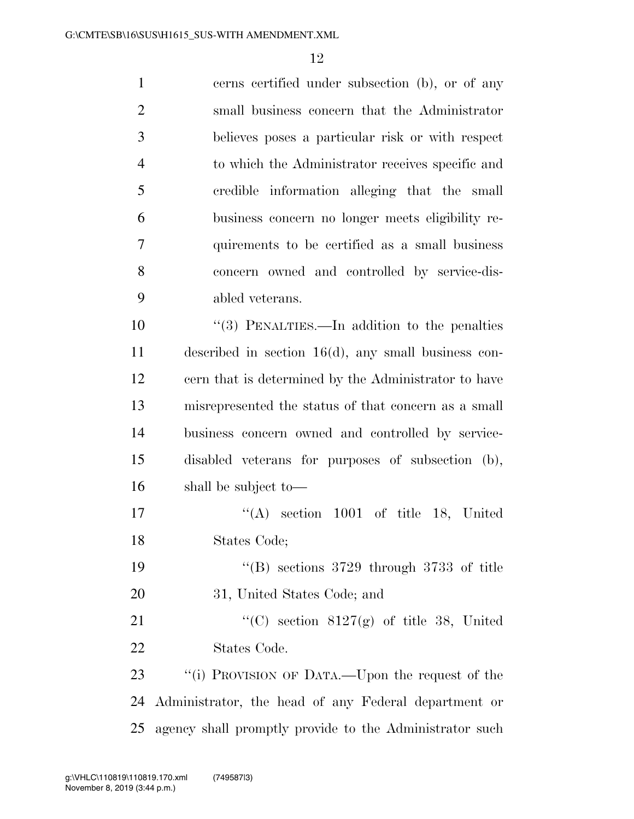| $\mathbf{1}$   | cerns certified under subsection (b), or of any          |
|----------------|----------------------------------------------------------|
| $\overline{2}$ | small business concern that the Administrator            |
| 3              | believes poses a particular risk or with respect         |
| $\overline{4}$ | to which the Administrator receives specific and         |
| 5              | credible information alleging that the small             |
| 6              | business concern no longer meets eligibility re-         |
| $\overline{7}$ | quirements to be certified as a small business           |
| 8              | concern owned and controlled by service-dis-             |
| 9              | abled veterans.                                          |
| 10             | $\cdot\cdot$ (3) PENALTIES.—In addition to the penalties |
| 11             | described in section $16(d)$ , any small business con-   |
| 12             | cern that is determined by the Administrator to have     |
| 13             | misrepresented the status of that concern as a small     |
| 14             | business concern owned and controlled by service-        |
| 15             | disabled veterans for purposes of subsection (b),        |
| 16             | shall be subject to—                                     |
| 17             | $\lq\lq$ section 1001 of title 18, United                |
| 18             | States Code;                                             |
| 19             | "(B) sections $3729$ through $3733$ of title             |
| 20             | 31, United States Code; and                              |
|                |                                                          |

21 "'(C) section 8127(g) of title 38, United States Code.

23 "(i) PROVISION OF DATA.—Upon the request of the Administrator, the head of any Federal department or agency shall promptly provide to the Administrator such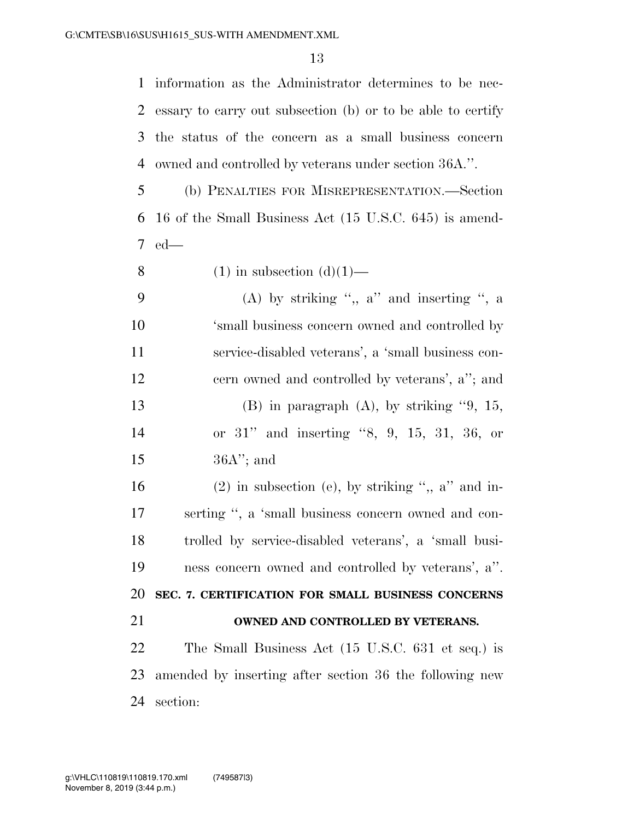information as the Administrator determines to be nec- essary to carry out subsection (b) or to be able to certify the status of the concern as a small business concern owned and controlled by veterans under section 36A.''.

 (b) PENALTIES FOR MISREPRESENTATION.—Section 16 of the Small Business Act (15 U.S.C. 645) is amend-ed—

8 (1) in subsection  $(d)(1)$ —

| - 9 | (A) by striking ", $a$ " and inserting ", $a$      |
|-----|----------------------------------------------------|
| 10  | 'small business concern owned and controlled by    |
| 11  | service-disabled veterans', a 'small business con- |
| 12  | cern owned and controlled by veterans', a''; and   |
| 13  | $(B)$ in paragraph $(A)$ , by striking "9, 15,     |
| 14  | or $31$ " and inserting "8, 9, 15, 31, 36, or      |
| 15  | $36A$ "; and                                       |

16 (2) in subsection (e), by striking ",, a" and in- serting '', a 'small business concern owned and con- trolled by service-disabled veterans', a 'small busi- ness concern owned and controlled by veterans', a''. **SEC. 7. CERTIFICATION FOR SMALL BUSINESS CONCERNS** 

#### **OWNED AND CONTROLLED BY VETERANS.**

 The Small Business Act (15 U.S.C. 631 et seq.) is amended by inserting after section 36 the following new section: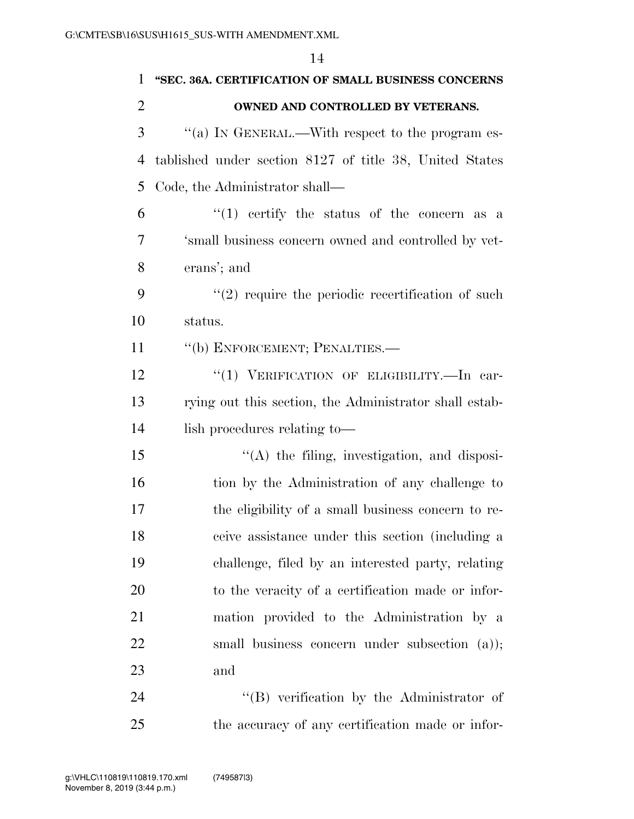|                | 14                                                      |
|----------------|---------------------------------------------------------|
| 1              | "SEC. 36A. CERTIFICATION OF SMALL BUSINESS CONCERNS     |
| $\overline{2}$ | OWNED AND CONTROLLED BY VETERANS.                       |
| 3              | "(a) IN GENERAL.—With respect to the program es-        |
| $\overline{4}$ | tablished under section 8127 of title 38, United States |
| 5              | Code, the Administrator shall—                          |
| 6              | " $(1)$ certify the status of the concern as a          |
| 7              | 'small business concern owned and controlled by vet-    |
| 8              | erans'; and                                             |
| 9              | $\lq(2)$ require the periodic recertification of such   |
| 10             | status.                                                 |
| 11             | "(b) ENFORCEMENT; PENALTIES.—                           |
| 12             | "(1) VERIFICATION OF ELIGIBILITY.-In car-               |
| 13             | rying out this section, the Administrator shall estab-  |
| 14             | lish procedures relating to-                            |
| 15             | $\lq\lq$ the filing, investigation, and disposi-        |
| 16             | tion by the Administration of any challenge to          |
| 17             | the eligibility of a small business concern to re-      |
| 18             | ceive assistance under this section (including a        |
| 19             | challenge, filed by an interested party, relating       |
| 20             | to the veracity of a certification made or infor-       |
| 21             | mation provided to the Administration by a              |
| 22             | small business concern under subsection (a));           |
| 23             | and                                                     |
| 24             | $\lq\lq (B)$ verification by the Administrator of       |

the accuracy of any certification made or infor-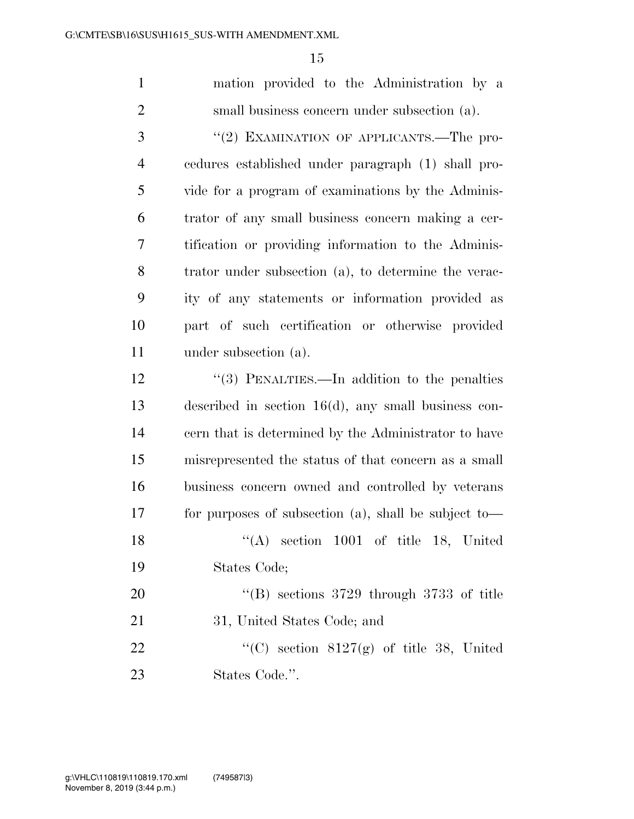mation provided to the Administration by a small business concern under subsection (a).

3 "(2) EXAMINATION OF APPLICANTS.—The pro- cedures established under paragraph (1) shall pro- vide for a program of examinations by the Adminis- trator of any small business concern making a cer- tification or providing information to the Adminis- trator under subsection (a), to determine the verac- ity of any statements or information provided as part of such certification or otherwise provided under subsection (a).

12 ''(3) PENALTIES.—In addition to the penalties described in section 16(d), any small business con- cern that is determined by the Administrator to have misrepresented the status of that concern as a small business concern owned and controlled by veterans for purposes of subsection (a), shall be subject to— 18 "(A) section 1001 of title 18, United States Code; 20 "'(B) sections 3729 through 3733 of title 31, United States Code; and  $\frac{1}{2}$  (C) section 8127(g) of title 38, United States Code.''.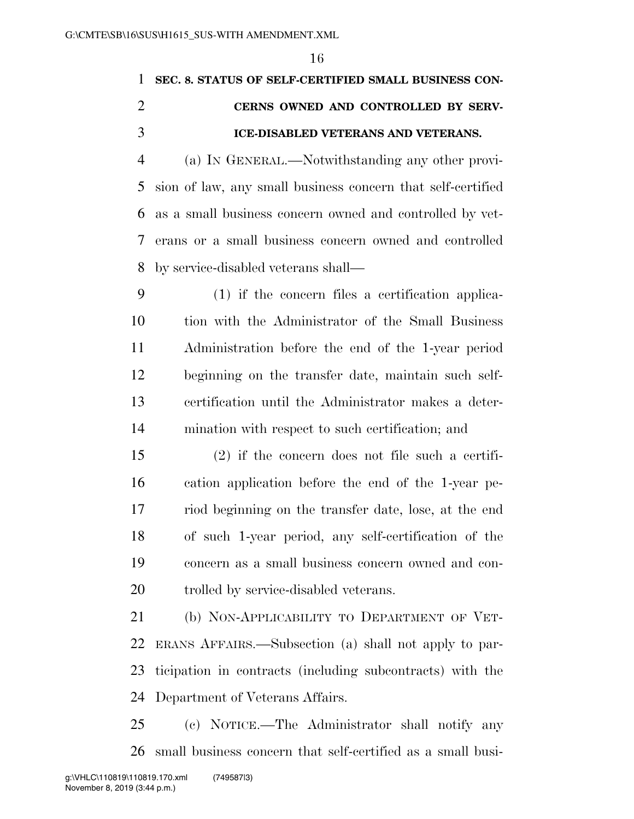# **SEC. 8. STATUS OF SELF-CERTIFIED SMALL BUSINESS CON- CERNS OWNED AND CONTROLLED BY SERV-ICE-DISABLED VETERANS AND VETERANS.**

 (a) IN GENERAL.—Notwithstanding any other provi- sion of law, any small business concern that self-certified as a small business concern owned and controlled by vet- erans or a small business concern owned and controlled by service-disabled veterans shall—

 (1) if the concern files a certification applica- tion with the Administrator of the Small Business Administration before the end of the 1-year period beginning on the transfer date, maintain such self- certification until the Administrator makes a deter-mination with respect to such certification; and

 (2) if the concern does not file such a certifi- cation application before the end of the 1-year pe- riod beginning on the transfer date, lose, at the end of such 1-year period, any self-certification of the concern as a small business concern owned and con-trolled by service-disabled veterans.

 (b) NON-APPLICABILITY TO DEPARTMENT OF VET- ERANS AFFAIRS.—Subsection (a) shall not apply to par- ticipation in contracts (including subcontracts) with the Department of Veterans Affairs.

 (c) NOTICE.—The Administrator shall notify any small business concern that self-certified as a small busi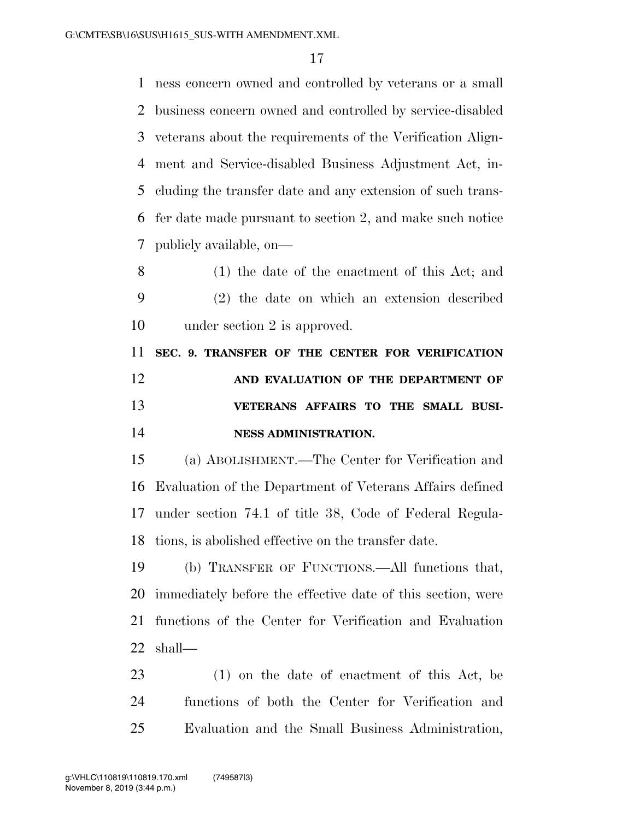ness concern owned and controlled by veterans or a small business concern owned and controlled by service-disabled veterans about the requirements of the Verification Align- ment and Service-disabled Business Adjustment Act, in- cluding the transfer date and any extension of such trans- fer date made pursuant to section 2, and make such notice publicly available, on—

 (1) the date of the enactment of this Act; and (2) the date on which an extension described under section 2 is approved.

 **SEC. 9. TRANSFER OF THE CENTER FOR VERIFICATION AND EVALUATION OF THE DEPARTMENT OF VETERANS AFFAIRS TO THE SMALL BUSI-NESS ADMINISTRATION.** 

 (a) ABOLISHMENT.—The Center for Verification and Evaluation of the Department of Veterans Affairs defined under section 74.1 of title 38, Code of Federal Regula-tions, is abolished effective on the transfer date.

 (b) TRANSFER OF FUNCTIONS.—All functions that, immediately before the effective date of this section, were functions of the Center for Verification and Evaluation shall—

 (1) on the date of enactment of this Act, be functions of both the Center for Verification and Evaluation and the Small Business Administration,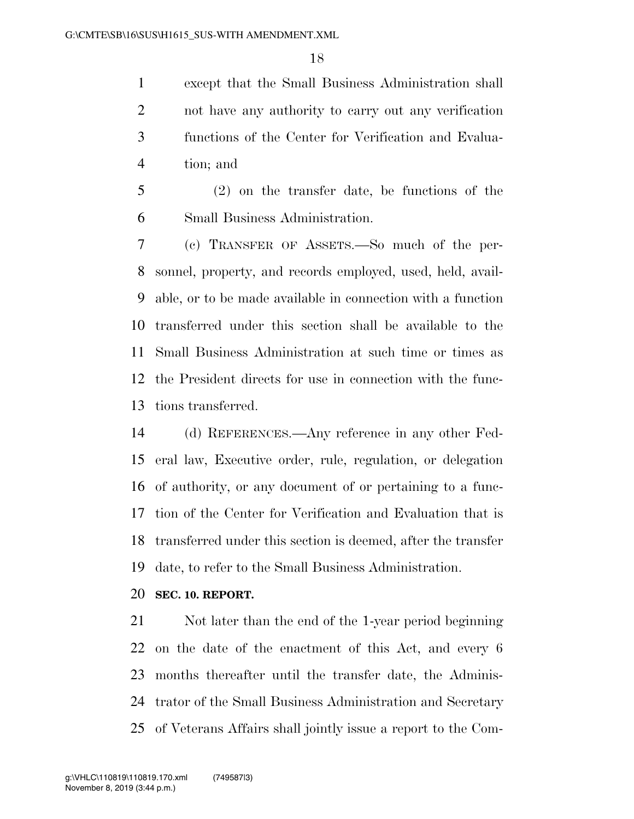except that the Small Business Administration shall not have any authority to carry out any verification functions of the Center for Verification and Evalua-tion; and

 (2) on the transfer date, be functions of the Small Business Administration.

 (c) TRANSFER OF ASSETS.—So much of the per- sonnel, property, and records employed, used, held, avail- able, or to be made available in connection with a function transferred under this section shall be available to the Small Business Administration at such time or times as the President directs for use in connection with the func-tions transferred.

 (d) REFERENCES.—Any reference in any other Fed- eral law, Executive order, rule, regulation, or delegation of authority, or any document of or pertaining to a func- tion of the Center for Verification and Evaluation that is transferred under this section is deemed, after the transfer date, to refer to the Small Business Administration.

# **SEC. 10. REPORT.**

 Not later than the end of the 1-year period beginning on the date of the enactment of this Act, and every 6 months thereafter until the transfer date, the Adminis- trator of the Small Business Administration and Secretary of Veterans Affairs shall jointly issue a report to the Com-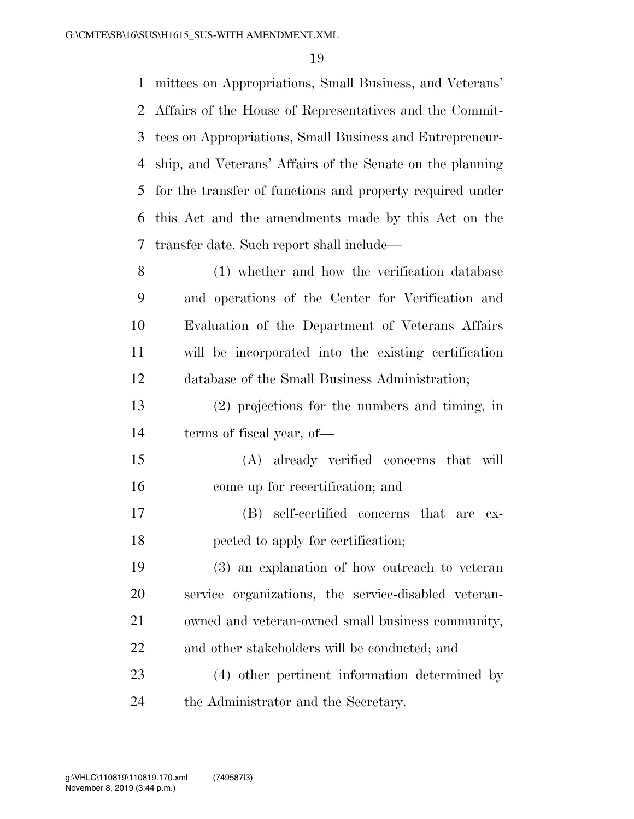mittees on Appropriations, Small Business, and Veterans' Affairs of the House of Representatives and the Commit- tees on Appropriations, Small Business and Entrepreneur- ship, and Veterans' Affairs of the Senate on the planning for the transfer of functions and property required under this Act and the amendments made by this Act on the transfer date. Such report shall include—

 (1) whether and how the verification database and operations of the Center for Verification and Evaluation of the Department of Veterans Affairs will be incorporated into the existing certification database of the Small Business Administration;

 (2) projections for the numbers and timing, in terms of fiscal year, of—

 (A) already verified concerns that will come up for recertification; and

 (B) self-certified concerns that are ex-pected to apply for certification;

 (3) an explanation of how outreach to veteran service organizations, the service-disabled veteran- owned and veteran-owned small business community, and other stakeholders will be conducted; and

 (4) other pertinent information determined by the Administrator and the Secretary.